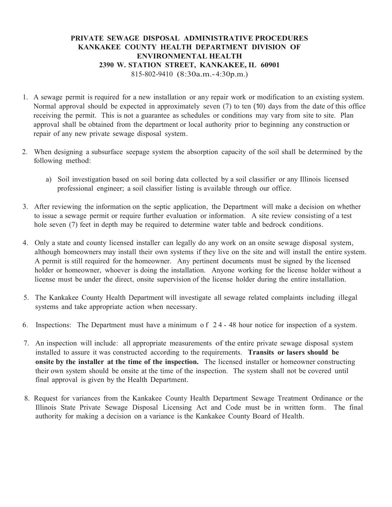## PRIVATE SEWAGE DISPOSAL ADMINISTRATIVE PROCEDURES KANKAKEE COUNTY HEALTH DEPARTMENT DIVISION OF ENVIRONMENTAL HEALTH 2390 W. STATION STREET, KANKAKEE, IL 60901 815-802-9410 (8:30a.m.-4:30p.m.)

- 1. A sewage permit is required for a new installation or any repair work or modification to an existing system. Normal approval should be expected in approximately seven (7) to ten (10) days from the date of this office receiving the permit. This is not a guarantee as schedules or conditions may vary from site to site. Plan approval shall be obtained from the department or local authority prior to beginning any construction or repair of any new private sewage disposal system.
- 2. When designing a subsurface seepage system the absorption capacity of the soil shall be determined by the following method:
	- a) Soil investigation based on soil boring data collected by a soil classifier or any Illinois licensed professional engineer; a soil classifier listing is available through our office.
- 3. After reviewing the information on the septic application, the Department will make a decision on whether to issue a sewage permit or require further evaluation or information. A site review consisting of a test hole seven (7) feet in depth may be required to determine water table and bedrock conditions.
- 4. Only a state and county licensed installer can legally do any work on an onsite sewage disposal system, although homeowners may install their own systems if they live on the site and will install the entire system. A permit is still required for the homeowner. Any pertinent documents must be signed by the licensed holder or homeowner, whoever is doing the installation. Anyone working for the license holder without a license must be under the direct, onsite supervision of the license holder during the entire installation.
- 5. The Kankakee County Health Department will investigate all sewage related complaints including illegal systems and take appropriate action when necessary.
- 6. Inspections: The Department must have a minimum o f 2 4 48 hour notice for inspection of a system.
- 7. An inspection will include: all appropriate measurements of the entire private sewage disposal system installed to assure it was constructed according to the requirements. Transits or lasers should be onsite by the installer at the time of the inspection. The licensed installer or homeowner constructing their own system should be onsite at the time of the inspection. The system shall not be covered until final approval is given by the Health Department.
- 8. Request for variances from the Kankakee County Health Department Sewage Treatment Ordinance or the Illinois State Private Sewage Disposal Licensing Act and Code must be in written form. The final authority for making a decision on a variance is the Kankakee County Board of Health.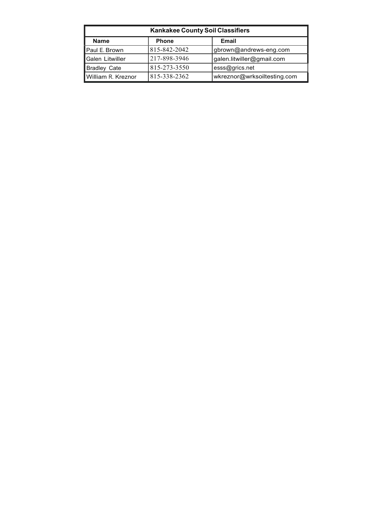| <b>Kankakee County Soil Classifiers</b> |               |                             |  |
|-----------------------------------------|---------------|-----------------------------|--|
| Name                                    | <b>Phone</b>  | Email                       |  |
| <b>I</b> Paul E. Brown                  | 815-842-2042  | gbrown@andrews-eng.com      |  |
| <b>I</b> Galen Litwiller                | 1217-898-3946 | galen.litwiller@gmail.com   |  |
| Bradley Cate                            | 815-273-3550  | esss@grics.net              |  |
| ∎William R. Kreznor                     | 815-338-2362  | wkreznor@wrksoiltesting.com |  |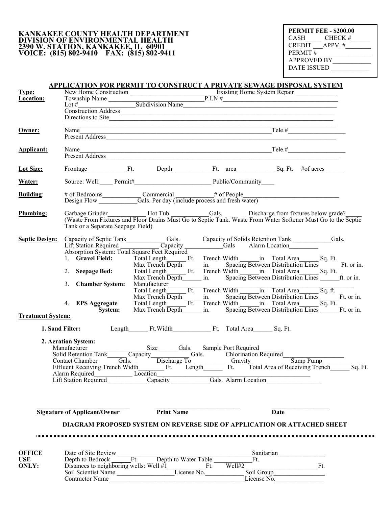#### KANKAKEE COUNTY HEALTH DEPARTMENT DIVISION OF ENVIRONMENTAL HEALTH 2390 W. STATION, KANKAKEE, IL 60901 VOICE: (815) 802-9410 FAX: (815) 802-9411

PERMIT FEE - \$200.00 CASH\_\_\_\_\_\_ CHECK #\_\_\_\_\_ CREDIT \_\_\_APPV. #\_\_\_\_\_\_\_\_  $PERMIT \#$ APPROVED BY\_\_\_\_\_\_\_\_\_\_\_\_ DATE ISSUED

|                          |                                                                                                                                    |                                                                            | <b>APPLICATION FOR PERMIT TO CONSTRUCT A PRIVATE SEWAGE DISPOSAL SYSTEM</b>                                                                                                                                                                  |
|--------------------------|------------------------------------------------------------------------------------------------------------------------------------|----------------------------------------------------------------------------|----------------------------------------------------------------------------------------------------------------------------------------------------------------------------------------------------------------------------------------------|
| Type:<br>Location:       |                                                                                                                                    |                                                                            |                                                                                                                                                                                                                                              |
|                          |                                                                                                                                    |                                                                            |                                                                                                                                                                                                                                              |
|                          |                                                                                                                                    |                                                                            | New Home Construction<br>New Home Construction<br>Township Name<br>Lot #<br>Construction Address<br>Construction Address<br>Construction Address                                                                                             |
|                          |                                                                                                                                    | Directions to Site                                                         |                                                                                                                                                                                                                                              |
| Owner:                   |                                                                                                                                    |                                                                            | Name Induction Tele # Induction Tele # Induction Tele # Induction Tele # Induction Tele # Induction Tele # Induction Tele # Induction Tele # Induction Tele # Induction Tele # Induction Tele # Induction Tele # Induction Tel               |
|                          |                                                                                                                                    |                                                                            |                                                                                                                                                                                                                                              |
| <b>Applicant:</b>        |                                                                                                                                    |                                                                            | Name International Tele # International Tele # International Tele # International Tele # International Tele # International Tele # International Tele # International Tele # International Tele # International Tele # Interna               |
|                          |                                                                                                                                    |                                                                            |                                                                                                                                                                                                                                              |
| <b>Lot Size:</b>         |                                                                                                                                    |                                                                            | Frontage Ft. Depth Ft. area Sq. Ft. #of acres                                                                                                                                                                                                |
| Water:                   |                                                                                                                                    |                                                                            |                                                                                                                                                                                                                                              |
| <b>Building:</b>         |                                                                                                                                    |                                                                            | # of Bedrooms<br>Design Flow Commercial # of People_<br>Design Flow Cials. Per day (include process and fresh water)                                                                                                                         |
| Plumbing:                | Tank or a Separate Seepage Field)                                                                                                  |                                                                            | Garbage Grinder<br>(Waste From Fixtures and Floor Drains Must Go to Septic Tank. Waste From Water Softener Must Go to the Septic<br>(Waste From Fixtures and Floor Drains Must Go to Septic Tank. Waste From Water Softener Must G           |
| <b>Septic Design:</b>    |                                                                                                                                    |                                                                            | Capacity of Septic Tank Gals. Capacity of Solids Retention Tank Gals.<br>Lift Station Required Capacity Gals Alarm Location Capacity Capacity Gals Alarm Location Capacity Capacity Gals Alarm Location Capacity Absorption Syst             |
|                          |                                                                                                                                    |                                                                            |                                                                                                                                                                                                                                              |
|                          |                                                                                                                                    |                                                                            |                                                                                                                                                                                                                                              |
|                          |                                                                                                                                    |                                                                            |                                                                                                                                                                                                                                              |
|                          |                                                                                                                                    |                                                                            | 1. <b>Gravel Field:</b> Total Length Ft. Trench Width in Total Area Sq. Ft.<br>Max Trench Depth in. Spacing Between Distribution Lines<br>2. <b>Seepage Bed:</b> Total Length Ft. Trench Width in. Total Area Sq. Ft. Then Nickel Max Trench |
|                          |                                                                                                                                    |                                                                            |                                                                                                                                                                                                                                              |
|                          |                                                                                                                                    |                                                                            | 3. Chamber System: Manufacturer<br>Total Length Ft. Trench Width in. Total Area Sq. ft.<br>Max Trench Depth in. Spacing Between Distribution Lines<br>Ft. or in.<br>System: Max Trench Depth in. Spacing Between Distribution Lines<br>S     |
|                          |                                                                                                                                    |                                                                            |                                                                                                                                                                                                                                              |
| <b>Treatment System:</b> |                                                                                                                                    |                                                                            |                                                                                                                                                                                                                                              |
|                          | 1. Sand Filter: Length Ft. Width Ft. Total Area Sq. Ft.                                                                            |                                                                            |                                                                                                                                                                                                                                              |
|                          |                                                                                                                                    |                                                                            | 2. Aeration System:<br>Manufacturer Size Gals. Sample Port Required<br>Solid Retention Tank Capacity Gals. Chlorination Required<br>Contact Chamber Gals. Discharge To Gravity Sump Pump Sump Pump<br>Effluent Receiving Trench Width        |
|                          |                                                                                                                                    |                                                                            |                                                                                                                                                                                                                                              |
|                          |                                                                                                                                    |                                                                            |                                                                                                                                                                                                                                              |
|                          |                                                                                                                                    |                                                                            |                                                                                                                                                                                                                                              |
|                          | Alarm Required Location<br>Lift Station Required Capacity Gals. Alarm Location                                                     |                                                                            |                                                                                                                                                                                                                                              |
|                          |                                                                                                                                    |                                                                            |                                                                                                                                                                                                                                              |
|                          | <b>Signature of Applicant/Owner</b> Print Name                                                                                     |                                                                            | <b>Date</b>                                                                                                                                                                                                                                  |
|                          |                                                                                                                                    |                                                                            |                                                                                                                                                                                                                                              |
|                          |                                                                                                                                    |                                                                            | DIAGRAM PROPOSED SYSTEM ON REVERSE SIDE OF APPLICATION OR ATTACHED SHEET                                                                                                                                                                     |
|                          |                                                                                                                                    |                                                                            |                                                                                                                                                                                                                                              |
| <b>OFFICE</b>            |                                                                                                                                    |                                                                            |                                                                                                                                                                                                                                              |
| <b>USE</b>               |                                                                                                                                    | Date of Site Review<br>Depth to Bedrock Ft Depth to Water Table Ft.<br>Ft. |                                                                                                                                                                                                                                              |
| <b>ONLY:</b>             |                                                                                                                                    | Well#2                                                                     |                                                                                                                                                                                                                                              |
|                          | Distances to neighboring wells: Well #1<br>Soil Scientist Name<br>Contractor Name<br>Manuscription of Manuscriptic Contractor Name |                                                                            | $\frac{1}{2}$ Ft.<br>Soil Group Ft.<br>License No.                                                                                                                                                                                           |
|                          |                                                                                                                                    |                                                                            |                                                                                                                                                                                                                                              |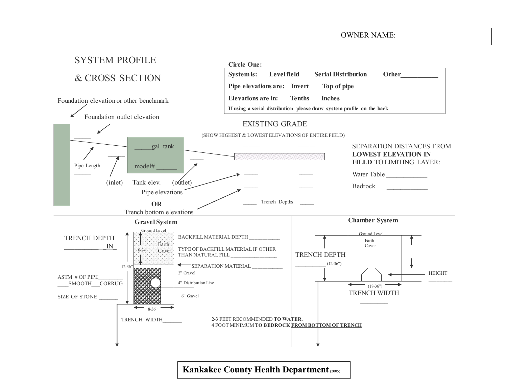OWNER NAME:



Kankakee County Health Department (2005)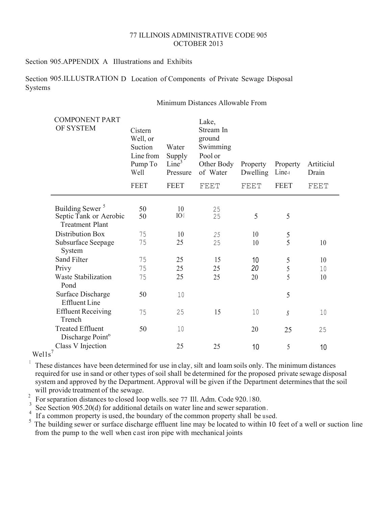### 77 ILLINOIS ADMINISTRATIVE CODE 905 OCTOBER 2013

Section 905.APPENDIX A Illustrations and Exhibits

Section 905.ILLUSTRATION D Location of Components of Private Sewage Disposal Systems

# Minimum Distances Allowable From

| <b>COMPONENT PART</b><br>OF SYSTEM | Cistern<br>Well, or<br>Suction<br>Line from<br>Pump To<br>Well | Water<br>Supply<br>Line <sup>3</sup><br>Pressure | Lake,<br>Stream In<br>ground<br>Swimming<br>Pool or<br>Other Body<br>of Water | Property<br>Dwelling | Property<br>Line- | Artiticiul<br>Drain |
|------------------------------------|----------------------------------------------------------------|--------------------------------------------------|-------------------------------------------------------------------------------|----------------------|-------------------|---------------------|
|                                    | <b>FEET</b>                                                    | <b>FEET</b>                                      | FEET                                                                          | FEET                 | <b>FEET</b>       | FEET                |
|                                    |                                                                |                                                  |                                                                               |                      |                   |                     |
| Building Sewer <sup>5</sup>        | 50                                                             | 10                                               | 25                                                                            |                      |                   |                     |
| Septic Tank or Aerobic             | 50                                                             | $IO \langle$                                     | 25                                                                            | 5                    | 5                 |                     |
| <b>Treatment Plant</b>             |                                                                |                                                  |                                                                               |                      |                   |                     |
| Distribution Box                   | 75                                                             | 10                                               | 25                                                                            | 10                   |                   |                     |
| Subsurface Seepage                 | 75                                                             | 25                                               | 25                                                                            | 10                   | $rac{5}{5}$       | 10                  |
| System                             |                                                                |                                                  |                                                                               |                      |                   |                     |
| Sand Filter                        | 75                                                             | 25                                               | 15                                                                            | 10                   | 5                 | 10                  |
| Privy                              | 75                                                             | 25                                               | 25                                                                            | 20                   | 5                 | 10                  |
| Waste Stabilization                | 75                                                             | 25                                               | 25                                                                            | 20                   | 5                 | 10                  |
| Pond                               |                                                                |                                                  |                                                                               |                      |                   |                     |
| Surface Discharge                  | 50                                                             | 10                                               |                                                                               |                      | 5                 |                     |
| <b>Effluent</b> Line               |                                                                |                                                  |                                                                               |                      |                   |                     |
| <b>Effluent Receiving</b>          | 75                                                             | 25                                               | 15                                                                            | 10                   | S                 | 10                  |
| Trench                             |                                                                |                                                  |                                                                               |                      |                   |                     |
| <b>Treated Effluent</b>            | 50                                                             | 10                                               |                                                                               | 20                   | 25                | 25                  |
| Discharge Point <sup>6</sup>       |                                                                |                                                  |                                                                               |                      |                   |                     |
| Class V Injection                  |                                                                | 25                                               | 25                                                                            | 10                   | 5                 | 10                  |
|                                    |                                                                |                                                  |                                                                               |                      |                   |                     |

 $Well1s'$ 

 $\frac{1}{1}$  These distances have been determined for use in clay, silt and loam soils only. The minimum distances required for use in sand or other types of soil shall be determined for the proposed private sewage disposal system and approved by the Department. Approval will be given if the Department determines that the soil will provide treatment of the sewage.

 $\frac{2}{3}$  For separation distances to closed loop wells. see 77 Ill. Adm. Code 920. 180.

<sup>3</sup> See Section 905.20(d) for additional details on water line and sewer separation.

 $\frac{4}{5}$  If a common property is used, the boundary of the common property shall be used.

The building sewer or surface discharge effluent line may be located to within 10 feet of a well or suction line from the pump to the well when cast iron pipe with mechanical joints